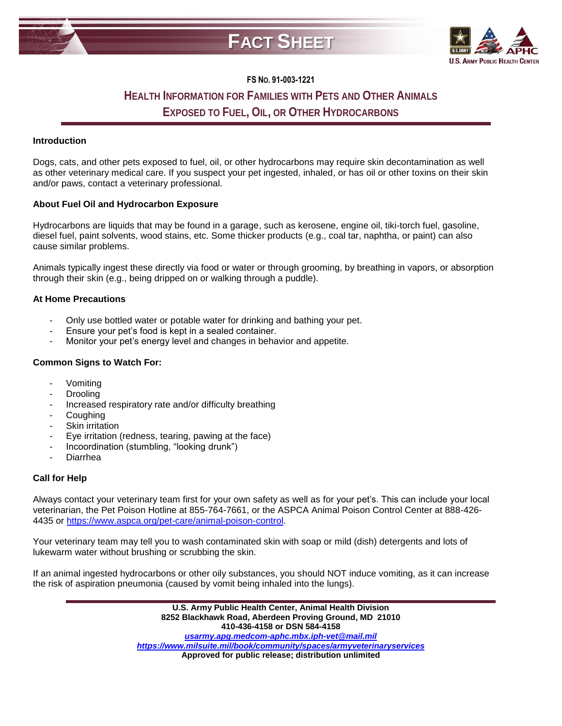



## **FS NO. 91-003-1221**

# **HEALTH INFORMATION FOR FAMILIES WITH PETS AND OTHER ANIMALS EXPOSED TO FUEL, OIL, OR OTHER HYDROCARBONS**

#### **Introduction**

Dogs, cats, and other pets exposed to fuel, oil, or other hydrocarbons may require skin decontamination as well as other veterinary medical care. If you suspect your pet ingested, inhaled, or has oil or other toxins on their skin and/or paws, contact a veterinary professional.

### **About Fuel Oil and Hydrocarbon Exposure**

Hydrocarbons are liquids that may be found in a garage, such as kerosene, engine oil, tiki-torch fuel, gasoline, diesel fuel, paint solvents, wood stains, etc. Some thicker products (e.g., coal tar, naphtha, or paint) can also cause similar problems.

Animals typically ingest these directly via food or water or through grooming, by breathing in vapors, or absorption through their skin (e.g., being dripped on or walking through a puddle).

### **At Home Precautions**

- Only use bottled water or potable water for drinking and bathing your pet.
- Ensure your pet's food is kept in a sealed container.
- Monitor your pet's energy level and changes in behavior and appetite.

#### **Common Signs to Watch For:**

- **Vomiting**
- **Drooling**
- Increased respiratory rate and/or difficulty breathing
- **Coughing**
- Skin irritation
- Eye irritation (redness, tearing, pawing at the face)
- Incoordination (stumbling, "looking drunk")
- **Diarrhea**

#### **Call for Help**

Always contact your veterinary team first for your own safety as well as for your pet's. This can include your local veterinarian, the Pet Poison Hotline at 855-764-7661, or the ASPCA Animal Poison Control Center at 888-426- 4435 or [https://www.aspca.org/pet-care/animal-poison-control.](https://www.aspca.org/pet-care/animal-poison-control)

Your veterinary team may tell you to wash contaminated skin with soap or mild (dish) detergents and lots of lukewarm water without brushing or scrubbing the skin.

If an animal ingested hydrocarbons or other oily substances, you should NOT induce vomiting, as it can increase the risk of aspiration pneumonia (caused by vomit being inhaled into the lungs).

> **U.S. Army Public Health Center, Animal Health Division 8252 Blackhawk Road, Aberdeen Proving Ground, MD 21010 410-436-4158 or DSN 584-4158** *[usarmy.apg.medcom-aphc.mbx.iph-vet@mail.mil](mailto:usarmy.apg.medcom-aphc.mbx.iph-vet@mail.mil) <https://www.milsuite.mil/book/community/spaces/armyveterinaryservices>* **Approved for public release; distribution unlimited**